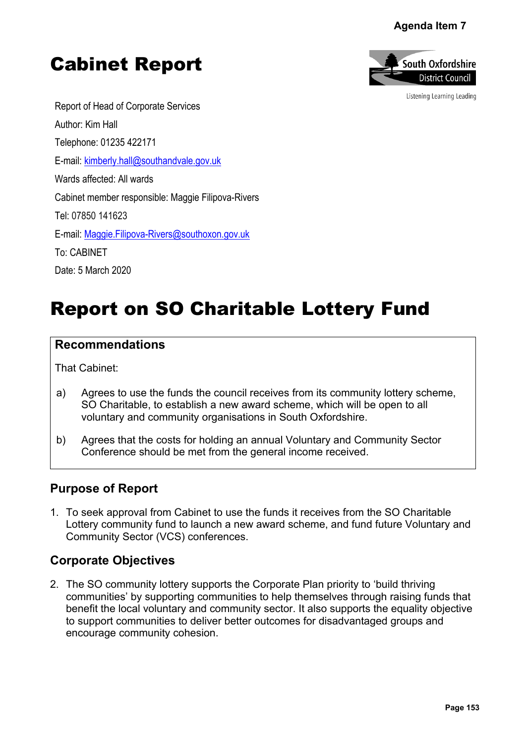## **Agenda Item 7**





Listening Learning Leading

Report of Head of Corporate Services Author: Kim Hall Telephone: 01235 422171 E-mail: [kimberly.hall@southandvale.gov.uk](mailto:kimberly.hall@southandvale.gov.uk) Wards affected: All wards Cabinet member responsible: Maggie Filipova-Rivers Tel: 07850 141623 E-mail: [Maggie.Filipova-Rivers@southoxon.gov.uk](mailto:Maggie.Filipova-Rivers@southoxon.gov.uk) To: CABINET Date: 5 March 2020

# Report on SO Charitable Lottery Fund

#### **Recommendations**

That Cabinet:

- a) Agrees to use the funds the council receives from its community lottery scheme, SO Charitable, to establish a new award scheme, which will be open to all voluntary and community organisations in South Oxfordshire.
- b) Agrees that the costs for holding an annual Voluntary and Community Sector Conference should be met from the general income received.

## **Purpose of Report**

1. To seek approval from Cabinet to use the funds it receives from the SO Charitable Lottery community fund to launch a new award scheme, and fund future Voluntary and Community Sector (VCS) conferences.

## **Corporate Objectives**

2. The SO community lottery supports the Corporate Plan priority to 'build thriving communities' by supporting communities to help themselves through raising funds that benefit the local voluntary and community sector. It also supports the equality objective to support communities to deliver better outcomes for disadvantaged groups and encourage community cohesion. **Pagenda Item 7**<br> **Page 153**<br> **Page 153**<br> **Page 153**<br> **Page 153**<br> **Page 153**<br> **Page 153**<br> **Page 153**<br> **Page 153**<br> **Page 153**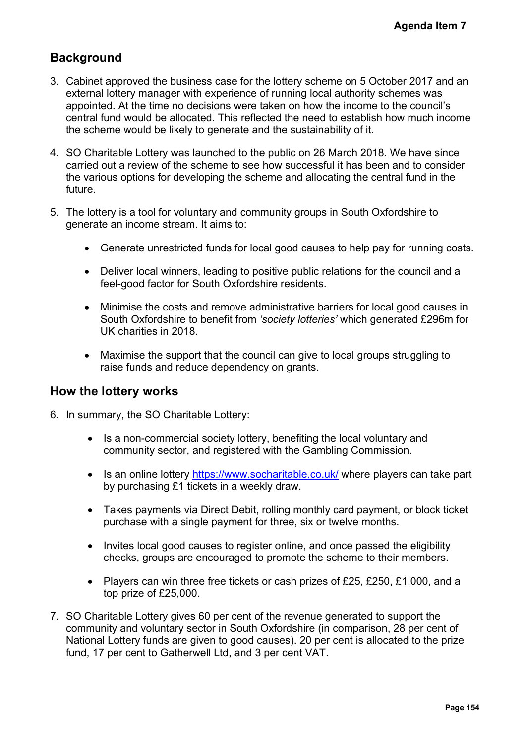# **Background**

- 3. Cabinet approved the business case for the lottery scheme on 5 October 2017 and an external lottery manager with experience of running local authority schemes was appointed. At the time no decisions were taken on how the income to the council's central fund would be allocated. This reflected the need to establish how much income the scheme would be likely to generate and the sustainability of it. Agenda Item 7<br>
ber 2017 and an<br>
emes was<br>
the council's<br>
bow much income<br>
We have since<br>
and to consider<br>
ral fund in the<br>
rdshire to<br>
for running costs.<br>
e council and a<br>
good causes in<br>
rated £296m for<br>
struggling to<br>
ar
- 4. SO Charitable Lottery was launched to the public on 26 March 2018. We have since carried out a review of the scheme to see how successful it has been and to consider the various options for developing the scheme and allocating the central fund in the future.
- 5. The lottery is a tool for voluntary and community groups in South Oxfordshire to generate an income stream. It aims to:
	- Generate unrestricted funds for local good causes to help pay for running costs.
	- Deliver local winners, leading to positive public relations for the council and a feel-good factor for South Oxfordshire residents.
	- Minimise the costs and remove administrative barriers for local good causes in South Oxfordshire to benefit from *'society lotteries'* which generated £296m for UK charities in 2018.
	- Maximise the support that the council can give to local groups struggling to raise funds and reduce dependency on grants.

## **How the lottery works**

- 6. In summary, the SO Charitable Lottery:
	- Is a non-commercial society lottery, benefiting the local voluntary and community sector, and registered with the Gambling Commission.
	- Is an online lottery <https://www.socharitable.co.uk/> where players can take part by purchasing £1 tickets in a weekly draw.
	- Takes payments via Direct Debit, rolling monthly card payment, or block ticket purchase with a single payment for three, six or twelve months.
	- Invites local good causes to register online, and once passed the eligibility checks, groups are encouraged to promote the scheme to their members.
	- Players can win three free tickets or cash prizes of £25, £250, £1,000, and a top prize of £25,000.
- 7. SO Charitable Lottery gives 60 per cent of the revenue generated to support the community and voluntary sector in South Oxfordshire (in comparison, 28 per cent of National Lottery funds are given to good causes). 20 per cent is allocated to the prize fund, 17 per cent to Gatherwell Ltd, and 3 per cent VAT.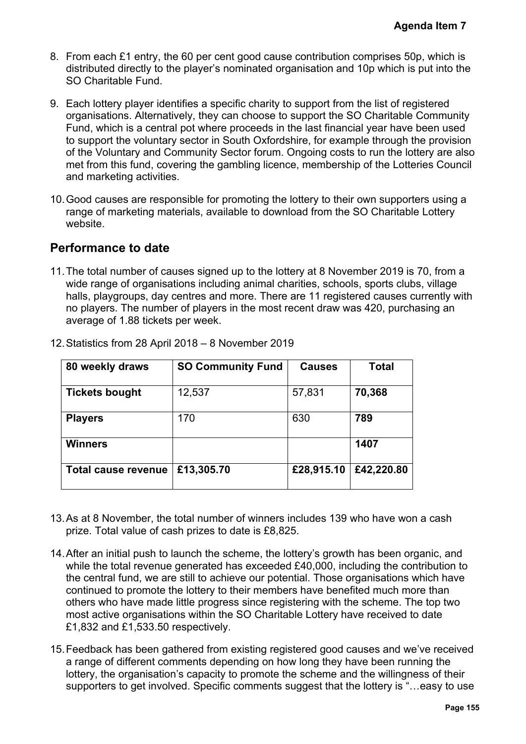- 8. From each £1 entry, the 60 per cent good cause contribution comprises 50p, which is distributed directly to the player's nominated organisation and 10p which is put into the SO Charitable Fund.
- 9. Each lottery player identifies a specific charity to support from the list of registered organisations. Alternatively, they can choose to support the SO Charitable Community Fund, which is a central pot where proceeds in the last financial year have been used to support the voluntary sector in South Oxfordshire, for example through the provision of the Voluntary and Community Sector forum. Ongoing costs to run the lottery are also met from this fund, covering the gambling licence, membership of the Lotteries Council and marketing activities. Agenda Item 7<br>
es 50p, which is<br>
ch is put into the<br>
of registered<br>
able Community<br>
ave been used<br>
ugh the provision<br>
le lottery are also<br>
Lotteries Council<br>
pporters using a<br>
itable Lottery<br>
19 is 70, from a<br>
clubs, villa
- 10.Good causes are responsible for promoting the lottery to their own supporters using a range of marketing materials, available to download from the SO Charitable Lottery website.

## **Performance to date**

11.The total number of causes signed up to the lottery at 8 November 2019 is 70, from a wide range of organisations including animal charities, schools, sports clubs, village halls, playgroups, day centres and more. There are 11 registered causes currently with no players. The number of players in the most recent draw was 420, purchasing an average of 1.88 tickets per week.

| 80 weekly draws            | <b>SO Community Fund</b> | <b>Causes</b> | Total      |
|----------------------------|--------------------------|---------------|------------|
| <b>Tickets bought</b>      | 12,537                   | 57,831        | 70,368     |
| <b>Players</b>             | 170                      | 630           | 789        |
| <b>Winners</b>             |                          |               | 1407       |
| <b>Total cause revenue</b> | £13,305.70               | £28,915.10    | £42,220.80 |

12.Statistics from 28 April 2018 – 8 November 2019

- 13.As at 8 November, the total number of winners includes 139 who have won a cash prize. Total value of cash prizes to date is £8,825.
- 14.After an initial push to launch the scheme, the lottery's growth has been organic, and while the total revenue generated has exceeded £40,000, including the contribution to the central fund, we are still to achieve our potential. Those organisations which have continued to promote the lottery to their members have benefited much more than others who have made little progress since registering with the scheme. The top two most active organisations within the SO Charitable Lottery have received to date £1,832 and £1,533.50 respectively.
- 15.Feedback has been gathered from existing registered good causes and we've received a range of different comments depending on how long they have been running the lottery, the organisation's capacity to promote the scheme and the willingness of their supporters to get involved. Specific comments suggest that the lottery is "…easy to use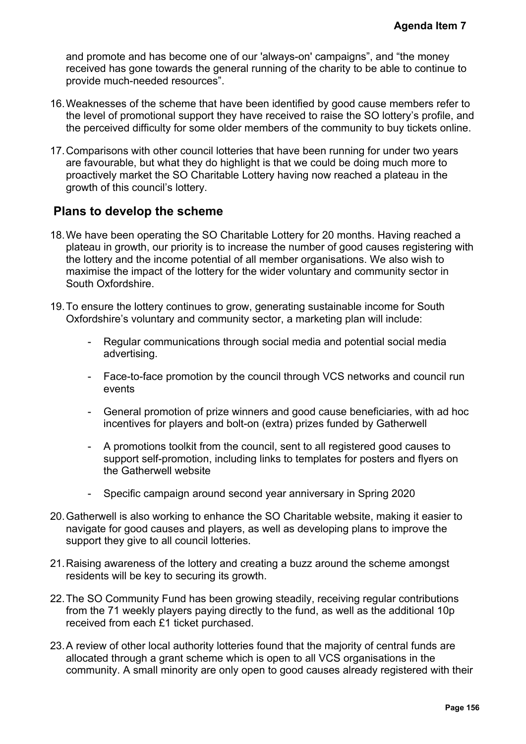and promote and has become one of our 'always-on' campaigns", and "the money received has gone towards the general running of the charity to be able to continue to provide much-needed resources".

- 16.Weaknesses of the scheme that have been identified by good cause members refer to the level of promotional support they have received to raise the SO lottery's profile, and the perceived difficulty for some older members of the community to buy tickets online.
- 17.Comparisons with other council lotteries that have been running for under two years are favourable, but what they do highlight is that we could be doing much more to proactively market the SO Charitable Lottery having now reached a plateau in the growth of this council's lottery.

## **Plans to develop the scheme**

- 18.We have been operating the SO Charitable Lottery for 20 months. Having reached a plateau in growth, our priority is to increase the number of good causes registering with the lottery and the income potential of all member organisations. We also wish to maximise the impact of the lottery for the wider voluntary and community sector in South Oxfordshire. Agenda Item 7<br>
"the money<br>
e to continue to<br>
nembers refer to<br>
tery's profile, and<br>
der two years<br>
uch trive wears<br>
uch more to<br>
ateau in the<br>
ing reached a<br>
streaghed a<br>
streaghed a<br>
streaghed a<br>
streaghed in the streaghe
- 19.To ensure the lottery continues to grow, generating sustainable income for South Oxfordshire's voluntary and community sector, a marketing plan will include:
	- Regular communications through social media and potential social media advertising.
	- Face-to-face promotion by the council through VCS networks and council run events
	- General promotion of prize winners and good cause beneficiaries, with ad hoc incentives for players and bolt-on (extra) prizes funded by Gatherwell
	- A promotions toolkit from the council, sent to all registered good causes to support self-promotion, including links to templates for posters and flyers on the Gatherwell website
	- Specific campaign around second year anniversary in Spring 2020
- 20.Gatherwell is also working to enhance the SO Charitable website, making it easier to navigate for good causes and players, as well as developing plans to improve the support they give to all council lotteries.
- 21.Raising awareness of the lottery and creating a buzz around the scheme amongst residents will be key to securing its growth.
- 22.The SO Community Fund has been growing steadily, receiving regular contributions from the 71 weekly players paying directly to the fund, as well as the additional 10p received from each £1 ticket purchased.
- 23.A review of other local authority lotteries found that the majority of central funds are allocated through a grant scheme which is open to all VCS organisations in the community. A small minority are only open to good causes already registered with their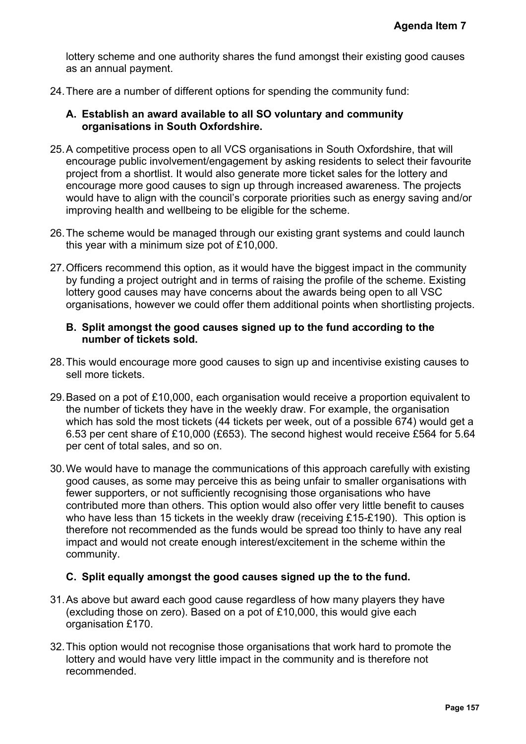lottery scheme and one authority shares the fund amongst their existing good causes as an annual payment.

- 24.There are a number of different options for spending the community fund:
	- **A. Establish an award available to all SO voluntary and community organisations in South Oxfordshire.**
- 25.A competitive process open to all VCS organisations in South Oxfordshire, that will encourage public involvement/engagement by asking residents to select their favourite project from a shortlist. It would also generate more ticket sales for the lottery and encourage more good causes to sign up through increased awareness. The projects would have to align with the council's corporate priorities such as energy saving and/or improving health and wellbeing to be eligible for the scheme.
- 26.The scheme would be managed through our existing grant systems and could launch this year with a minimum size pot of £10,000.
- 27.Officers recommend this option, as it would have the biggest impact in the community by funding a project outright and in terms of raising the profile of the scheme. Existing lottery good causes may have concerns about the awards being open to all VSC organisations, however we could offer them additional points when shortlisting projects.

#### **B. Split amongst the good causes signed up to the fund according to the number of tickets sold.**

- 28.This would encourage more good causes to sign up and incentivise existing causes to sell more tickets.
- 29.Based on a pot of £10,000, each organisation would receive a proportion equivalent to the number of tickets they have in the weekly draw. For example, the organisation which has sold the most tickets (44 tickets per week, out of a possible 674) would get a 6.53 per cent share of £10,000 (£653). The second highest would receive £564 for 5.64 per cent of total sales, and so on.
- 30.We would have to manage the communications of this approach carefully with existing good causes, as some may perceive this as being unfair to smaller organisations with fewer supporters, or not sufficiently recognising those organisations who have contributed more than others. This option would also offer very little benefit to causes who have less than 15 tickets in the weekly draw (receiving £15-£190). This option is therefore not recommended as the funds would be spread too thinly to have any real impact and would not create enough interest/excitement in the scheme within the community. Agenda Item 7<br>
ng good causes<br>
Ind:<br>
ty<br>
thire, that will<br>
ect their favourite<br>
lottery and<br>
s. The projects<br>
gy saving and/or<br>
nd could launch<br>
the community<br>
thene. Existing<br>
to all VSC<br>
orlisting projects.<br>
ng to the<br>
d

#### **C. Split equally amongst the good causes signed up the to the fund.**

- 31.As above but award each good cause regardless of how many players they have (excluding those on zero). Based on a pot of £10,000, this would give each organisation £170.
- 32.This option would not recognise those organisations that work hard to promote the lottery and would have very little impact in the community and is therefore not recommended.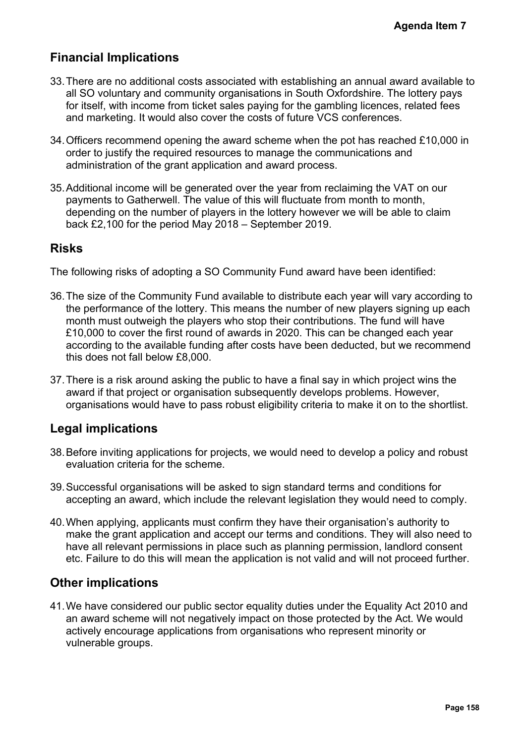## **Financial Implications**

- 33.There are no additional costs associated with establishing an annual award available to all SO voluntary and community organisations in South Oxfordshire. The lottery pays for itself, with income from ticket sales paying for the gambling licences, related fees and marketing. It would also cover the costs of future VCS conferences.
- 34.Officers recommend opening the award scheme when the pot has reached £10,000 in order to justify the required resources to manage the communications and administration of the grant application and award process.
- 35.Additional income will be generated over the year from reclaiming the VAT on our payments to Gatherwell. The value of this will fluctuate from month to month, depending on the number of players in the lottery however we will be able to claim back £2,100 for the period May 2018 – September 2019.

## **Risks**

The following risks of adopting a SO Community Fund award have been identified:

- 36.The size of the Community Fund available to distribute each year will vary according to the performance of the lottery. This means the number of new players signing up each month must outweigh the players who stop their contributions. The fund will have £10,000 to cover the first round of awards in 2020. This can be changed each year according to the available funding after costs have been deducted, but we recommend this does not fall below £8,000. Agenda Item 7<br>ward available to<br>he lottery pays<br>s, related fees<br>s.<br>ched £10,000 in<br>and<br>VAT on our<br>month,<br>able to claim<br>month,<br>able to claim<br>dentified:<br>vary according to<br>signing up each<br>of will have<br>ed each year<br>were recomm
- 37.There is a risk around asking the public to have a final say in which project wins the award if that project or organisation subsequently develops problems. However, organisations would have to pass robust eligibility criteria to make it on to the shortlist.

## **Legal implications**

- 38.Before inviting applications for projects, we would need to develop a policy and robust evaluation criteria for the scheme.
- 39.Successful organisations will be asked to sign standard terms and conditions for accepting an award, which include the relevant legislation they would need to comply.
- 40.When applying, applicants must confirm they have their organisation's authority to make the grant application and accept our terms and conditions. They will also need to have all relevant permissions in place such as planning permission, landlord consent etc. Failure to do this will mean the application is not valid and will not proceed further.

## **Other implications**

41.We have considered our public sector equality duties under the Equality Act 2010 and an award scheme will not negatively impact on those protected by the Act. We would actively encourage applications from organisations who represent minority or vulnerable groups.